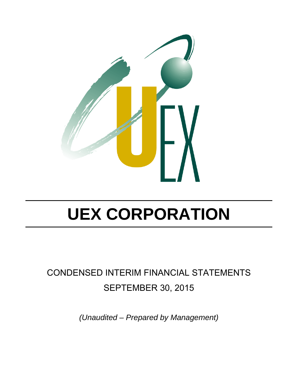

## CONDENSED INTERIM FINANCIAL STATEMENTS SEPTEMBER 30, 2015

*(Unaudited – Prepared by Management)*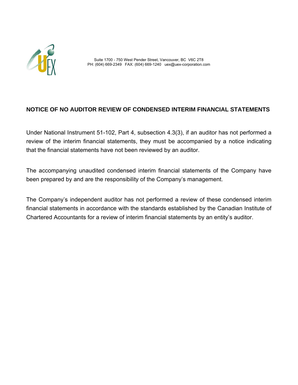

 Suite 1700 - 750 West Pender Street, Vancouver, BC V6C 2T8 PH: (604) 669-2349 FAX: (604) 669-1240 uex@uex-corporation.com

### **NOTICE OF NO AUDITOR REVIEW OF CONDENSED INTERIM FINANCIAL STATEMENTS**

Under National Instrument 51-102, Part 4, subsection 4.3(3), if an auditor has not performed a review of the interim financial statements, they must be accompanied by a notice indicating that the financial statements have not been reviewed by an auditor.

The accompanying unaudited condensed interim financial statements of the Company have been prepared by and are the responsibility of the Company's management.

The Company's independent auditor has not performed a review of these condensed interim financial statements in accordance with the standards established by the Canadian Institute of Chartered Accountants for a review of interim financial statements by an entity's auditor.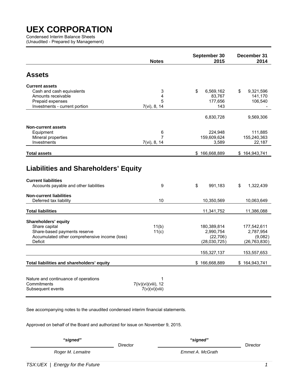Condensed Interim Balance Sheets (Unaudited - Prepared by Management)

|                                                                                                                                                               | <b>Notes</b>                               | September 30<br>2015                                               | December 31<br>2014                                                 |
|---------------------------------------------------------------------------------------------------------------------------------------------------------------|--------------------------------------------|--------------------------------------------------------------------|---------------------------------------------------------------------|
| <b>Assets</b>                                                                                                                                                 |                                            |                                                                    |                                                                     |
| <b>Current assets</b><br>Cash and cash equivalents<br>Amounts receivable<br>Prepaid expenses<br>Investments - current portion                                 | 3<br>4<br>5<br>7(vi), 8, 14                | \$<br>6,569,162<br>83,767<br>177,656<br>143                        | \$<br>9,321,596<br>141,170<br>106,540                               |
|                                                                                                                                                               |                                            | 6,830,728                                                          | 9,569,306                                                           |
| <b>Non-current assets</b><br>Equipment<br>Mineral properties<br>Investments                                                                                   | 6<br>7<br>7(vi), 8, 14                     | 224,948<br>159,609,624<br>3,589                                    | 111,885<br>155,240,363<br>22,187                                    |
| <b>Total assets</b>                                                                                                                                           |                                            | \$166,668,889                                                      | \$164,943,741                                                       |
| <b>Liabilities and Shareholders' Equity</b><br><b>Current liabilities</b><br>Accounts payable and other liabilities<br><b>Non-current liabilities</b>         | 9                                          | \$<br>991,183                                                      | 1,322,439<br>\$                                                     |
| Deferred tax liability                                                                                                                                        | 10                                         | 10,350,569                                                         | 10,063,649                                                          |
| <b>Total liabilities</b><br>Shareholders' equity<br>Share capital<br>Share-based payments reserve<br>Accumulated other comprehensive income (loss)<br>Deficit | 11(b)<br>11(c)                             | 11,341,752<br>180,389,814<br>2,990,754<br>(22,706)<br>(28,030,725) | 11,386,088<br>177,542,611<br>2,787,954<br>(9,082)<br>(26, 763, 830) |
|                                                                                                                                                               |                                            | 155,327,137                                                        | 153,557,653                                                         |
| Total liabilities and shareholders' equity                                                                                                                    |                                            | \$166,668,889                                                      | \$164,943,741                                                       |
| Nature and continuance of operations<br>Commitments<br>Subsequent events                                                                                      | 1<br>7(iv)(vi)(viii), 12<br>7(v)(vi)(viii) |                                                                    |                                                                     |

See accompanying notes to the unaudited condensed interim financial statements.

Approved on behalf of the Board and authorized for issue on November 9, 2015.

| "signed"          |          | "signed"         |          |
|-------------------|----------|------------------|----------|
|                   | Director |                  | Director |
| Roger M. Lemaitre |          | Emmet A. McGrath |          |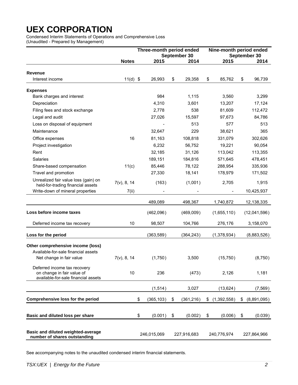Condensed Interim Statements of Operations and Comprehensive Loss (Unaudited - Prepared by Management)

|                                                                           |                | Three-month period ended |                  | Nine-month period ended |             |    |              |
|---------------------------------------------------------------------------|----------------|--------------------------|------------------|-------------------------|-------------|----|--------------|
|                                                                           |                |                          | September 30     |                         |             |    | September 30 |
|                                                                           | <b>Notes</b>   | 2015                     | 2014             |                         | 2015        |    | 2014         |
| <b>Revenue</b>                                                            |                |                          |                  |                         |             |    |              |
| Interest income                                                           | $11(d)$ \$     | 26,993                   | \$<br>29,358     | \$                      | 85,762      | \$ | 96,739       |
| <b>Expenses</b>                                                           |                |                          |                  |                         |             |    |              |
| Bank charges and interest                                                 |                | 984                      | 1,115            |                         | 3,560       |    | 3,299        |
| Depreciation                                                              |                | 4,310                    | 3,601            |                         | 13,207      |    | 17,124       |
| Filing fees and stock exchange                                            |                | 2,778                    | 538              |                         | 81,609      |    | 112,472      |
| Legal and audit                                                           |                | 27,026                   | 15,597           |                         | 97,673      |    | 84,786       |
| Loss on disposal of equipment                                             |                |                          | 513              |                         | 577         |    | 513          |
| Maintenance                                                               |                | 32,647                   | 229              |                         | 38,621      |    | 365          |
| Office expenses                                                           | 16             | 81,163                   | 108,818          |                         | 331,079     |    | 302,626      |
| Project investigation                                                     |                | 6,232                    | 56,752           |                         | 19,221      |    | 90,054       |
| Rent                                                                      |                | 32,185                   | 31,126           |                         | 113,042     |    | 113,355      |
| <b>Salaries</b>                                                           |                | 189,151                  | 184,816          |                         | 571,645     |    | 478,451      |
| Share-based compensation                                                  | 11(c)          | 85,446                   | 78,122           |                         | 288,954     |    | 335,936      |
| Travel and promotion                                                      |                | 27,330                   | 18,141           |                         | 178,979     |    | 171,502      |
| Unrealized fair value loss (gain) on<br>held-for-trading financial assets | $7(v)$ , 8, 14 | (163)                    | (1,001)          |                         | 2,705       |    | 1,915        |
| Write-down of mineral properties                                          | 7(ii)          |                          |                  |                         |             |    | 10,425,937   |
|                                                                           |                | 489,089                  | 498,367          |                         | 1,740,872   |    | 12,138,335   |
| Loss before income taxes                                                  |                | (462,096)                | (469,009)        |                         | (1,655,110) |    | (12,041,596) |
| Deferred income tax recovery                                              | 10             | 98,507                   | 104,766          |                         | 276,176     |    | 3,158,070    |
| Loss for the period                                                       |                | (363, 589)               | (364, 243)       |                         | (1,378,934) |    | (8,883,526)  |
| Other comprehensive income (loss)                                         |                |                          |                  |                         |             |    |              |
| Available-for-sale financial assets                                       |                |                          |                  |                         |             |    |              |
| Net change in fair value                                                  | $7(v)$ , 8, 14 | (1,750)                  | 3,500            |                         | (15, 750)   |    | (8,750)      |
| Deferred income tax recovery<br>on change in fair value of                | 10             | 236                      | (473)            |                         | 2,126       |    | 1,181        |
| available-for-sale financial assets                                       |                |                          |                  |                         |             |    |              |
|                                                                           |                | (1, 514)                 | 3,027            |                         | (13, 624)   |    | (7, 569)     |
| <b>Comprehensive loss for the period</b>                                  |                | \$<br>(365, 103)         | \$<br>(361, 216) | \$                      | (1,392,558) | \$ | (8,891,095)  |
|                                                                           |                |                          |                  |                         |             |    |              |
| Basic and diluted loss per share                                          |                | \$<br>(0.001)            | \$<br>(0.002)    | \$                      | (0.006)     | \$ | (0.039)      |
| Basic and diluted weighted-average                                        |                |                          |                  |                         |             |    |              |
| number of shares outstanding                                              |                | 246,015,069              | 227,916,683      |                         | 240,776,974 |    | 227,864,966  |

See accompanying notes to the unaudited condensed interim financial statements.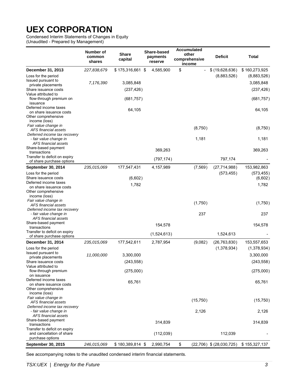Condensed Interim Statements of Changes in Equity

(Unaudited - Prepared by Management)

|                                                                                          | Number of<br>common<br>shares | <b>Share</b><br>capital | Share-based<br>payments<br>reserve | <b>Accumulated</b><br>other<br>comprehensive<br>income | <b>Deficit</b>               | Total                                  |
|------------------------------------------------------------------------------------------|-------------------------------|-------------------------|------------------------------------|--------------------------------------------------------|------------------------------|----------------------------------------|
| December 31, 2013                                                                        | 227,838,679                   | $$175,316,661$ \$       | 4,585,900                          | \$                                                     | \$(19,628,636)               | \$160,273,925                          |
| Loss for the period<br>Issued pursuant to<br>private placements<br>Share issuance costs  | 7,176,390                     | 3,085,848<br>(237, 426) |                                    |                                                        | (8,883,526)                  | (8,883,526)<br>3,085,848<br>(237, 426) |
| Value attributed to<br>flow-through premium on<br>issuance                               |                               | (681, 757)              |                                    |                                                        |                              | (681, 757)                             |
| Deferred income taxes<br>on share issuance costs<br>Other comprehensive<br>income (loss) |                               | 64,105                  |                                    |                                                        |                              | 64,105                                 |
| Fair value change in<br>AFS financial assets                                             |                               |                         |                                    | (8,750)                                                |                              | (8,750)                                |
| Deferred income tax recovery<br>- fair value change in<br>AFS financial assets           |                               |                         |                                    | 1,181                                                  |                              | 1,181                                  |
| Share-based payment<br>transactions                                                      |                               |                         | 369,263                            |                                                        |                              | 369,263                                |
| Transfer to deficit on expiry<br>of share purchase options                               |                               |                         | (797, 174)                         |                                                        | 797,174                      |                                        |
| <b>September 30, 2014</b>                                                                | 235,015,069                   | 177,547,431             | 4,157,989                          | (7, 569)                                               | (27, 714, 988)               | 153,982,863                            |
| Loss for the period<br>Share issuance costs                                              |                               | (6,602)                 |                                    |                                                        | (573, 455)                   | (573, 455)<br>(6,602)                  |
| Deferred income taxes<br>on share issuance costs<br>Other comprehensive<br>income (loss) |                               | 1,782                   |                                    |                                                        |                              | 1,782                                  |
| Fair value change in<br>AFS financial assets                                             |                               |                         |                                    | (1,750)                                                |                              | (1,750)                                |
| Deferred income tax recovery<br>- fair value change in<br>AFS financial assets           |                               |                         |                                    | 237                                                    |                              | 237                                    |
| Share-based payment<br>transactions                                                      |                               |                         | 154,578                            |                                                        |                              | 154,578                                |
| Transfer to deficit on expiry<br>of share purchase options                               |                               |                         | (1,524,613)                        |                                                        | 1,524,613                    |                                        |
| December 31, 2014                                                                        | 235,015,069                   | 177,542,611             | 2,787,954                          | (9,082)                                                | (26, 763, 830)               | 153,557,653                            |
| Loss for the period<br>Issued pursuant to<br>private placements<br>Share issuance costs  | 11,000,000                    | 3,300,000<br>(243, 558) |                                    |                                                        | (1,378,934)                  | (1,378,934)<br>3,300,000<br>(243, 558) |
| Value attributed to<br>flow-through premium                                              |                               | (275,000)               |                                    |                                                        |                              | (275,000)                              |
| on issuance<br>Deferred income taxes<br>on share issuance costs                          |                               | 65,761                  |                                    |                                                        |                              | 65,761                                 |
| Other comprehensive<br>income (loss)                                                     |                               |                         |                                    |                                                        |                              |                                        |
| Fair value change in<br>AFS financial assets<br>Deferred income tax recovery             |                               |                         |                                    | (15,750)                                               |                              | (15, 750)                              |
| - fair value change in<br>AFS financial assets                                           |                               |                         |                                    | 2,126                                                  |                              | 2,126                                  |
| Share-based payment<br>transactions                                                      |                               |                         | 314,839                            |                                                        |                              | 314,839                                |
| Transfer to deficit on expiry<br>and cancellation of share<br>purchase options           |                               |                         | (112,039)                          |                                                        | 112,039                      |                                        |
| September 30, 2015                                                                       | 246,015,069                   | $$180,389,814$ \$       | 2,990,754                          | \$                                                     | $(22,706)$ \$ $(28,030,725)$ | \$155,327,137                          |

See accompanying notes to the unaudited condensed interim financial statements.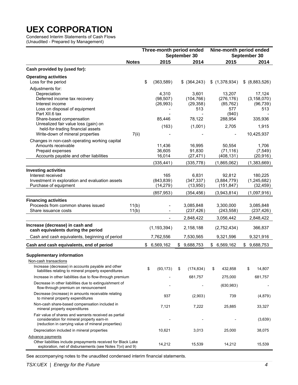Condensed Interim Statements of Cash Flows (Unaudited - Prepared by Management)

|                                                                                                                                                            |                | Three-month period ended                     | September 30                                  | Nine-month period ended<br>September 30            |    |                                                      |
|------------------------------------------------------------------------------------------------------------------------------------------------------------|----------------|----------------------------------------------|-----------------------------------------------|----------------------------------------------------|----|------------------------------------------------------|
|                                                                                                                                                            | <b>Notes</b>   | 2015                                         | 2014                                          | 2015                                               |    | 2014                                                 |
| Cash provided by (used for):                                                                                                                               |                |                                              |                                               |                                                    |    |                                                      |
| <b>Operating activities</b><br>Loss for the period                                                                                                         |                | \$<br>(363,589)                              | \$ (364,243)                                  | \$(1,378,934)                                      |    | \$ (8,883,526)                                       |
| Adjustments for:<br>Depreciation<br>Deferred income tax recovery<br>Interest income<br>Loss on disposal of equipment<br>Part XII.6 tax                     |                | 4,310<br>(98, 507)<br>(26, 993)              | 3,601<br>(104, 766)<br>(29, 358)<br>513       | 13,207<br>(276, 176)<br>(85, 762)<br>577<br>(940)  |    | 17,124<br>(3, 158, 070)<br>(96, 739)<br>513          |
| Share-based compensation<br>Unrealized fair value loss (gain) on<br>held-for-trading financial assets<br>Write-down of mineral properties                  | 7(ii)          | 85,446<br>(163)                              | 78,122<br>(1,001)                             | 288,954<br>2,705<br>$\overline{\phantom{a}}$       |    | 335,936<br>1,915<br>10,425,937                       |
| Changes in non-cash operating working capital<br>Amounts receivable<br>Prepaid expenses<br>Accounts payable and other liabilities                          |                | 11,436<br>36,605<br>16,014<br>(335, 441)     | 16,995<br>91,830<br>(27, 471)<br>(335, 778)   | 50,554<br>(71, 116)<br>(408, 131)<br>(1,865,062)   |    | 1,706<br>(7, 549)<br>(20, 916)<br>(1,383,669)        |
| <b>Investing activities</b><br>Interest received<br>Investment in exploration and evaluation assets<br>Purchase of equipment                               |                | 165<br>(843, 839)<br>(14, 279)<br>(857, 953) | 6,831<br>(347, 337)<br>(13,950)<br>(354, 456) | 92,812<br>(3,884,779)<br>(151, 847)<br>(3,943,814) |    | 180,225<br>(1, 245, 682)<br>(32, 459)<br>(1,097,916) |
| <b>Financing activities</b><br>Proceeds from common shares issued<br>Share issuance costs                                                                  | 11(b)<br>11(b) | $\overline{\phantom{a}}$                     | 3,085,848<br>(237, 426)<br>2,848,422          | 3,300,000<br>(243, 558)<br>3,056,442               |    | 3,085,848<br>(237, 426)<br>2,848,422                 |
| Increase (decrease) in cash and<br>cash equivalents during the period                                                                                      |                | (1, 193, 394)                                | 2,158,188                                     | (2,752,434)                                        |    | 366,837                                              |
| Cash and cash equivalents, beginning of period                                                                                                             |                | 7,762,556                                    | 7,530,565                                     | 9,321,596                                          |    | 9,321,916                                            |
| Cash and cash equivalents, end of period                                                                                                                   |                | \$6,569,162                                  | \$9,688,753                                   | \$<br>6,569,162                                    |    | \$9,688,753                                          |
| <b>Supplementary information</b><br>Non-cash transactions<br>Increase (decrease) in accounts payable and other                                             |                |                                              |                                               |                                                    |    |                                                      |
| liabilities relating to mineral property expenditures<br>Increase in other liabilities due to flow-through premium                                         |                | \$<br>(93, 173)                              | \$<br>(174, 834)<br>681,757                   | \$<br>432,858<br>275,000                           | \$ | 14,807<br>681,757                                    |
| Decrease in other liabilities due to extinguishment of<br>flow-through premium on renouncement                                                             |                |                                              |                                               | (630, 983)                                         |    |                                                      |
| Decrease (increase) in amounts receivable relating<br>to mineral property expenditures                                                                     |                | 937                                          | (2,903)                                       | 739                                                |    | (4,879)                                              |
| Non-cash share-based compensation included in<br>mineral property expenditures                                                                             |                | 7,121                                        | 7,222                                         | 25,885                                             |    | 33,327                                               |
| Fair value of shares and warrants received as partial<br>consideration for mineral property earn-in<br>(reduction in carrying value of mineral properties) |                |                                              |                                               |                                                    |    | (3,639)                                              |
| Depreciation included in mineral properties                                                                                                                |                | 10,621                                       | 3,013                                         | 25,000                                             |    | 38,075                                               |
| <b>Advance payments</b><br>Other liabilities include prepayments received for Black Lake<br>exploration, net of disbursements (see Notes 7(vi) and 9)      |                | 14,212                                       | 15,539                                        | 14,212                                             |    | 15,539                                               |

See accompanying notes to the unaudited condensed interim financial statements.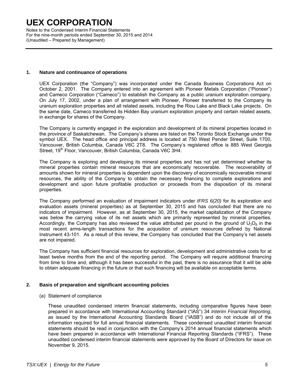Notes to the Condensed Interim Financial Statements For the nine-month periods ended September 30, 2015 and 2014 (Unaudited – Prepared by Management)

### **1. Nature and continuance of operations**

UEX Corporation (the "Company") was incorporated under the Canada Business Corporations Act on October 2, 2001. The Company entered into an agreement with Pioneer Metals Corporation ("Pioneer") and Cameco Corporation ("Cameco") to establish the Company as a public uranium exploration company. On July 17, 2002, under a plan of arrangement with Pioneer, Pioneer transferred to the Company its uranium exploration properties and all related assets, including the Riou Lake and Black Lake projects. On the same date, Cameco transferred its Hidden Bay uranium exploration property and certain related assets, in exchange for shares of the Company.

The Company is currently engaged in the exploration and development of its mineral properties located in the province of Saskatchewan. The Company's shares are listed on the Toronto Stock Exchange under the symbol UEX. The head office and principal address is located at 750 West Pender Street, Suite 1700, Vancouver, British Columbia, Canada V6C 2T8. The Company's registered office is 885 West Georgia Street, 19<sup>th</sup> Floor, Vancouver, British Columbia, Canada V6C 3H4.

The Company is exploring and developing its mineral properties and has not yet determined whether its mineral properties contain mineral resources that are economically recoverable. The recoverability of amounts shown for mineral properties is dependent upon the discovery of economically recoverable mineral resources, the ability of the Company to obtain the necessary financing to complete explorations and development and upon future profitable production or proceeds from the disposition of its mineral properties.

The Company performed an evaluation of impairment indicators under *IFRS 6(20)* for its exploration and evaluation assets (mineral properties) as at September 30, 2015 and has concluded that there are no indicators of impairment. However, as at September 30, 2015, the market capitalization of the Company was below the carrying value of its net assets which are primarily represented by mineral properties. Accordingly, the Company has also reviewed the value attributed per pound in the ground of  $U_3O_8$  in the most recent arms-length transactions for the acquisition of uranium resources defined by National Instrument 43-101. As a result of this review, the Company has concluded that the Company's net assets are not impaired.

The Company has sufficient financial resources for exploration, development and administrative costs for at least twelve months from the end of the reporting period. The Company will require additional financing from time to time and, although it has been successful in the past, there is no assurance that it will be able to obtain adequate financing in the future or that such financing will be available on acceptable terms.

### **2. Basis of preparation and significant accounting policies**

(a) Statement of compliance

These unaudited condensed interim financial statements, including comparative figures have been prepared in accordance with International Accounting Standard ("IAS") 34 *Interim Financial Reporting*, as issued by the International Accounting Standards Board ("IASB") and do not include all of the information required for full annual financial statements. These condensed unaudited interim financial statements should be read in conjunction with the Company's 2014 annual financial statements which have been prepared in accordance with International Financial Reporting Standards ("IFRS"). These unaudited condensed interim financial statements were approved by the Board of Directors for issue on November 9, 2015.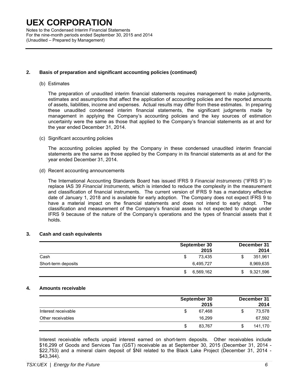Notes to the Condensed Interim Financial Statements For the nine-month periods ended September 30, 2015 and 2014 (Unaudited – Prepared by Management)

### **2. Basis of preparation and significant accounting policies (continued)**

#### (b) Estimates

The preparation of unaudited interim financial statements requires management to make judgments, estimates and assumptions that affect the application of accounting policies and the reported amounts of assets, liabilities, income and expenses. Actual results may differ from these estimates. In preparing these unaudited condensed interim financial statements, the significant judgments made by management in applying the Company's accounting policies and the key sources of estimation uncertainty were the same as those that applied to the Company's financial statements as at and for the year ended December 31, 2014.

(c) Significant accounting policies

The accounting policies applied by the Company in these condensed unaudited interim financial statements are the same as those applied by the Company in its financial statements as at and for the year ended December 31, 2014.

(d) Recent accounting announcements

The International Accounting Standards Board has issued IFRS 9 *Financial Instruments* ("IFRS 9") to replace IAS 39 *Financial Instruments,* which is intended to reduce the complexity in the measurement and classification of financial instruments. The current version of IFRS 9 has a mandatory effective date of January 1, 2018 and is available for early adoption. The Company does not expect IFRS 9 to have a material impact on the financial statements and does not intend to early adopt. The classification and measurement of the Company's financial assets is not expected to change under IFRS 9 because of the nature of the Company's operations and the types of financial assets that it holds.

### **3. Cash and cash equivalents**

|                     | September 30 | December 31<br>2015 | 2014      |
|---------------------|--------------|---------------------|-----------|
| Cash                |              | 73.435              | 351,961   |
| Short-term deposits | 6,495,727    |                     | 8,969,635 |
|                     | 6,569,162    | \$                  | 9,321,596 |

#### **4. Amounts receivable**

|                     | September 30<br>2015 |   | December 31<br>2014 |
|---------------------|----------------------|---|---------------------|
| Interest receivable | 67.468               | S | 73,578              |
| Other receivables   | 16.299               |   | 67,592              |
|                     | 83,767               | S | 141,170             |

Interest receivable reflects unpaid interest earned on short-term deposits. Other receivables include \$16,299 of Goods and Services Tax (GST) receivable as at September 30, 2015 (December 31, 2014 - \$22,753) and a mineral claim deposit of \$Nil related to the Black Lake Project (December 31, 2014 - \$43,344).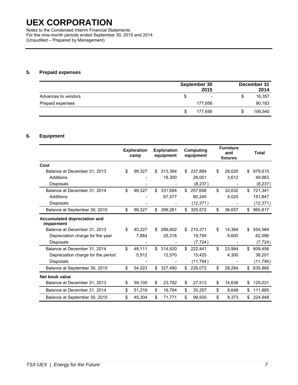Notes to the Condensed Interim Financial Statements For the nine-month periods ended September 30, 2015 and 2014 (Unaudited – Prepared by Management)

### **5. Prepaid expenses**

|                     | September 30<br>2015           |    | December 31<br>2014 |
|---------------------|--------------------------------|----|---------------------|
| Advances to vendors | $\overline{\phantom{a}}$<br>۰D | \$ | 16,357              |
| Prepaid expenses    | 177,656                        |    | 90,183              |
|                     | 177.656<br>\$.                 | S  | 106,540             |

### **6. Equipment**

|                                            | <b>Exploration</b><br>camp |     | <b>Exploration</b><br>equipment |    | <b>Computing</b><br>equipment | <b>Furniture</b><br>and<br>fixtures |    | <b>Total</b> |
|--------------------------------------------|----------------------------|-----|---------------------------------|----|-------------------------------|-------------------------------------|----|--------------|
| Cost                                       |                            |     |                                 |    |                               |                                     |    |              |
| Balance at December 31, 2013               | \$<br>99,327               | \$. | 313,384                         | S  | 237,884                       | \$<br>29.020                        | \$ | 679,615      |
| Additions                                  |                            |     | 18,300                          |    | 28,051                        | 3,612                               |    | 49,963       |
| <b>Disposals</b>                           |                            |     |                                 |    | (8,237)                       |                                     |    | (8, 237)     |
| Balance at December 31, 2014               | \$<br>99,327               | \$  | 331,684                         | \$ | 257.698                       | \$<br>32.632                        | \$ | 721,341      |
| Additions                                  |                            |     | 67,577                          |    | 80,245                        | 4,025                               |    | 151,847      |
| Disposals                                  |                            |     |                                 |    | (12, 371)                     |                                     |    | (12, 371)    |
| Balance at September 30, 2015              | \$<br>99,327               | \$  | 399,261                         | \$ | 325,572                       | \$<br>36,657                        | \$ | 860,817      |
| Accumulated depreciation and<br>impairment |                            |     |                                 |    |                               |                                     |    |              |
| Balance at December 31, 2013               | \$<br>40,227               | \$  | 289,602                         | \$ | 210,371                       | \$<br>14,384                        | \$ | 554,584      |
| Depreciation charge for the year           | 7,884                      |     | 25,318                          |    | 19,794                        | 9,600                               |    | 62,596       |
| <b>Disposals</b>                           |                            |     |                                 |    | (7, 724)                      |                                     |    | (7, 724)     |
| Balance at December 31, 2014               | \$<br>48,111               | \$  | 314,920                         | \$ | 222,441                       | \$<br>23,984                        | \$ | 609,456      |
| Depreciation charge for the period         | 5,912                      |     | 12,570                          |    | 15,425                        | 4,300                               |    | 38,207       |
| <b>Disposals</b>                           |                            |     |                                 |    | (11, 794)                     |                                     |    | (11, 794)    |
| Balance at September 30, 2015              | \$<br>54,023               | \$  | 327,490                         | \$ | 226,072                       | \$<br>28,284                        | \$ | 635,869      |
| Net book value                             |                            |     |                                 |    |                               |                                     |    |              |
| Balance at December 31, 2013               | \$<br>59,100               | \$  | 23,782                          | \$ | 27,513                        | \$<br>14,636                        | \$ | 125,031      |
| Balance at December 31, 2014               | \$<br>51,216               | \$  | 16,764                          | \$ | 35,257                        | \$<br>8,648                         | S  | 111,885      |
| Balance at September 30, 2015              | \$<br>45,304               | \$  | 71,771                          | \$ | 99,500                        | \$<br>8,373                         |    | 224,948      |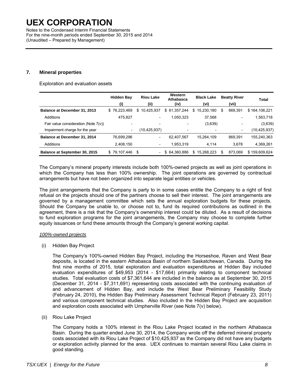Notes to the Condensed Interim Financial Statements For the nine-month periods ended September 30, 2015 and 2014 (Unaudited – Prepared by Management)

### **7. Mineral properties**

Exploration and evaluation assets

|                                         | <b>Hidden Bay</b>        | <b>Riou Lake</b>               | Western<br>Athabasca     | <b>Black Lake</b>            | <b>Beatty River</b>      | Total         |
|-----------------------------------------|--------------------------|--------------------------------|--------------------------|------------------------------|--------------------------|---------------|
|                                         | (i)                      | (ii)                           | (iv)                     | (vi)                         | (vii)                    |               |
| Balance at December 31, 2013            | \$76,223,469             | 10,425,937<br>\$               | \$ 61,357,244            | \$<br>15,230,180             | 869.391<br>S             | \$164,106,221 |
| Additions                               | 475.827                  | $\overline{\phantom{a}}$       | 1,050,323                | 37.568                       | $\qquad \qquad$          | 1,563,718     |
| Fair value consideration (Note $7(v)$ ) | $\overline{\phantom{0}}$ | $\overline{\phantom{a}}$       |                          | (3,639)                      | $\overline{\phantom{0}}$ | (3,639)       |
| Impairment charge for the year          | $\overline{\phantom{a}}$ | (10,425,937)                   | $\overline{\phantom{a}}$ | $\qquad \qquad \blacksquare$ | $\overline{\phantom{a}}$ | (10,425,937)  |
| Balance at December 31, 2014            | 76,699,296               | $\overline{\phantom{a}}$       | 62,407,567               | 15,264,109                   | 869.391                  | 155,240,363   |
| Additions                               | 2,408,150                | $\overline{\phantom{a}}$       | 1,953,319                | 4,114                        | 3.678                    | 4,369,261     |
| Balance at September 30, 2015           | \$79,107,446             | \$<br>$\overline{\phantom{0}}$ | 64,360,886<br>\$.        | 15,268,223<br>\$             | 873.069<br>\$            | \$159,609,624 |

The Company's mineral property interests include both 100%-owned projects as well as joint operations in which the Company has less than 100% ownership. The joint operations are governed by contractual arrangements but have not been organized into separate legal entities or vehicles.

The joint arrangements that the Company is party to in some cases entitle the Company to a right of first refusal on the projects should one of the partners choose to sell their interest. The joint arrangements are governed by a management committee which sets the annual exploration budgets for these projects. Should the Company be unable to, or choose not to, fund its required contributions as outlined in the agreement, there is a risk that the Company's ownership interest could be diluted. As a result of decisions to fund exploration programs for the joint arrangements, the Company may choose to complete further equity issuances or fund these amounts through the Company's general working capital.

#### *100%-owned projects*

(i) Hidden Bay Project

The Company's 100%-owned Hidden Bay Project, including the Horseshoe, Raven and West Bear deposits, is located in the eastern Athabasca Basin of northern Saskatchewan, Canada. During the first nine months of 2015, total exploration and evaluation expenditures at Hidden Bay included evaluation expenditures of \$49,953 (2014 - \$17,664) primarily relating to component technical studies. Total evaluation costs of \$7,361,644 are included in the balance as at September 30, 2015 (December 31, 2014 - \$7,311,691) representing costs associated with the continuing evaluation of and advancement of Hidden Bay, and include the West Bear Preliminary Feasibility Study (February 24, 2010), the Hidden Bay Preliminary Assessment Technical Report (February 23, 2011) and various component technical studies. Also included in the Hidden Bay Project are acquisition and exploration costs associated with Umpherville River (see Note 7(v) below).

(ii) Riou Lake Project

The Company holds a 100% interest in the Riou Lake Project located in the northern Athabasca Basin. During the quarter ended June 30, 2014, the Company wrote off the deferred mineral property costs associated with its Riou Lake Project of \$10,425,937 as the Company did not have any budgets or exploration activity planned for the area. UEX continues to maintain several Riou Lake claims in good standing.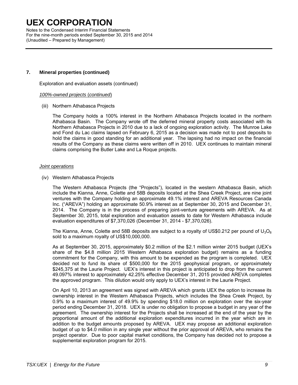Notes to the Condensed Interim Financial Statements For the nine-month periods ended September 30, 2015 and 2014 (Unaudited – Prepared by Management)

### **7. Mineral properties (continued)**

Exploration and evaluation assets (continued)

#### *100%-owned projects* (*continued*)

(iii) Northern Athabasca Projects

The Company holds a 100% interest in the Northern Athabasca Projects located in the northern Athabasca Basin. The Company wrote off the deferred mineral property costs associated with its Northern Athabasca Projects in 2010 due to a lack of ongoing exploration activity. The Munroe Lake and Fond du Lac claims lapsed on February 6, 2015 as a decision was made not to post deposits to hold the claims in good standing for an additional year. The lapsing had no impact on the financial results of the Company as these claims were written off in 2010. UEX continues to maintain mineral claims comprising the Butler Lake and La Roque projects.

#### *Joint operations*

(iv) Western Athabasca Projects

The Western Athabasca Projects (the "Projects"), located in the western Athabasca Basin, which include the Kianna, Anne, Colette and 58B deposits located at the Shea Creek Project, are nine joint ventures with the Company holding an approximate 49.1% interest and AREVA Resources Canada Inc. ("AREVA") holding an approximate 50.9% interest as at September 30, 2015 and December 31, 2014. The Company is in the process of preparing joint-venture agreements with AREVA. As at September 30, 2015, total exploration and evaluation assets to date for Western Athabasca include evaluation expenditures of \$7,370,026 (December 31, 2014 - \$7,370,026).

The Kianna, Anne, Colette and 58B deposits are subject to a royalty of US\$0.212 per pound of  $U_3O_8$ sold to a maximum royalty of US\$10,000,000.

As at September 30, 2015, approximately \$0.2 million of the \$2.1 million winter 2015 budget (UEX's share of the \$4.8 million 2015 Western Athabasca exploration budget) remains as a funding commitment for the Company, with this amount to be expended as the program is completed. UEX decided not to fund its share of \$500,000 for the 2015 geophysical program, or approximately \$245,375 at the Laurie Project. UEX's interest in this project is anticipated to drop from the current 49.097% interest to approximately 42.25% effective December 31, 2015 provided AREVA completes the approved program. This dilution would only apply to UEX's interest in the Laurie Project.

On April 10, 2013 an agreement was signed with AREVA which grants UEX the option to increase its ownership interest in the Western Athabasca Projects, which includes the Shea Creek Project, by 0.9% to a maximum interest of 49.9% by spending \$18.0 million on exploration over the six-year period ending December 31, 2018. UEX is under no obligation to propose a budget in any year of the agreement. The ownership interest for the Projects shall be increased at the end of the year by the proportional amount of the additional exploration expenditures incurred in the year which are in addition to the budget amounts proposed by AREVA. UEX may propose an additional exploration budget of up to \$4.0 million in any single year without the prior approval of AREVA, who remains the project operator. Due to poor capital market conditions, the Company has decided not to propose a supplemental exploration program for 2015.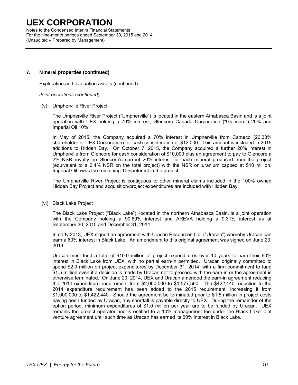Notes to the Condensed Interim Financial Statements For the nine-month periods ended September 30, 2015 and 2014 (Unaudited – Prepared by Management)

### **7. Mineral properties (continued)**

Exploration and evaluation assets (continued)

#### *Joint operations* (*continued*)

(v) Umpherville River Project

The Umpherville River Project ("Umpherville") is located in the eastern Athabasca Basin and is a joint operation with UEX holding a 70% interest, Glencore Canada Corporation ("Glencore") 20% and Imperial Oil 10%.

In May of 2015, the Company acquired a 70% interest in Umpherville from Cameco (20.33% shareholder of UEX Corporation) for cash consideration of \$12,000. This amount is included in 2015 additions to Hidden Bay. On October 7, 2015, the Company acquired a further 20% interest in Umpherville from Glencore for cash consideration of \$10,000 plus an agreement to pay to Glencore a 2% NSR royalty on Glencore's current 20% interest for each mineral produced from the project (equivalent to a 0.4% NSR on the total project) with the NSR on uranium capped at \$10 million. Imperial Oil owns the remaining 10% interest in the project.

The Umpherville River Project is contiguous to other mineral claims included in the 100% owned Hidden Bay Project and acquisition/project expenditures are included with Hidden Bay.

(vi) Black Lake Project

The Black Lake Project ("Black Lake"), located in the northern Athabasca Basin, is a joint operation with the Company holding a 90.69% interest and AREVA holding a 9.31% interest as at September 30, 2015 and December 31, 2014.

In early 2013, UEX signed an agreement with Uracan Resources Ltd. ("Uracan") whereby Uracan can earn a 60% interest in Black Lake. An amendment to this original agreement was signed on June 23, 2014.

Uracan must fund a total of \$10.0 million of project expenditures over 10 years to earn their 60% interest in Black Lake from UEX, with no partial earn-in permitted. Uracan originally committed to spend \$2.0 million on project expenditures by December 31, 2014, with a firm commitment to fund \$1.5 million even if a decision is made by Uracan not to proceed with the earn-in or the agreement is otherwise terminated. On June 23, 2014, UEX and Uracan amended the earn-in agreement reducing the 2014 expenditure requirement from \$2,000,000 to \$1,577,560. The \$422,440 reduction to the 2014 expenditure requirement has been added to the 2015 requirement, increasing it from \$1,000,000 to \$1,422,440. Should the agreement be terminated prior to \$1.5 million in project costs having been funded by Uracan, any shortfall is payable directly to UEX. During the remainder of the option period, minimum expenditures of \$1.0 million per year are to be funded by Uracan. UEX remains the project operator and is entitled to a 10% management fee under the Black Lake joint venture agreement until such time as Uracan has earned its 60% interest in Black Lake.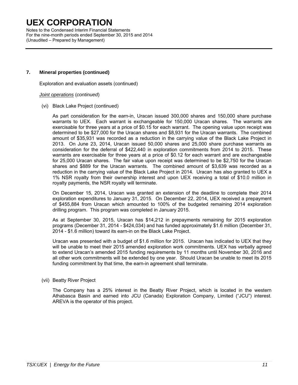Notes to the Condensed Interim Financial Statements For the nine-month periods ended September 30, 2015 and 2014 (Unaudited – Prepared by Management)

### **7. Mineral properties (continued)**

Exploration and evaluation assets (continued)

#### *Joint operations* (*continued*)

(vi) Black Lake Project (continued)

As part consideration for the earn-in, Uracan issued 300,000 shares and 150,000 share purchase warrants to UEX. Each warrant is exchangeable for 150,000 Uracan shares. The warrants are exercisable for three years at a price of \$0.15 for each warrant. The opening value upon receipt was determined to be \$27,000 for the Uracan shares and \$8,931 for the Uracan warrants. The combined amount of \$35,931 was recorded as a reduction in the carrying value of the Black Lake Project in 2013. On June 23, 2014, Uracan issued 50,000 shares and 25,000 share purchase warrants as consideration for the deferral of \$422,440 in exploration commitments from 2014 to 2015. These warrants are exercisable for three years at a price of \$0.12 for each warrant and are exchangeable for 25,000 Uracan shares. The fair value upon receipt was determined to be \$2,750 for the Uracan shares and \$889 for the Uracan warrants. The combined amount of \$3,639 was recorded as a reduction in the carrying value of the Black Lake Project in 2014. Uracan has also granted to UEX a 1% NSR royalty from their ownership interest and upon UEX receiving a total of \$10.0 million in royalty payments, the NSR royalty will terminate.

On December 15, 2014, Uracan was granted an extension of the deadline to complete their 2014 exploration expenditures to January 31, 2015. On December 22, 2014, UEX received a prepayment of \$455,884 from Uracan which amounted to 100% of the budgeted remaining 2014 exploration drilling program. This program was completed in January 2015.

As at September 30, 2015, Uracan has \$14,212 in prepayments remaining for 2015 exploration programs (December 31, 2014 - \$424,034) and has funded approximately \$1.6 million (December 31, 2014 - \$1.6 million) toward its earn-in on the Black Lake Project.

Uracan was presented with a budget of \$1.6 million for 2015. Uracan has indicated to UEX that they will be unable to meet their 2015 amended exploration work commitments. UEX has verbally agreed to extend Uracan's amended 2015 funding requirements by 11 months until November 30, 2016 and all other work commitments will be extended by one year. Should Uracan be unable to meet its 2015 funding commitment by that time, the earn-in agreement shall terminate.

### (vii) Beatty River Project

The Company has a 25% interest in the Beatty River Project, which is located in the western Athabasca Basin and earned into JCU (Canada) Exploration Company, Limited ("JCU") interest. AREVA is the operator of this project.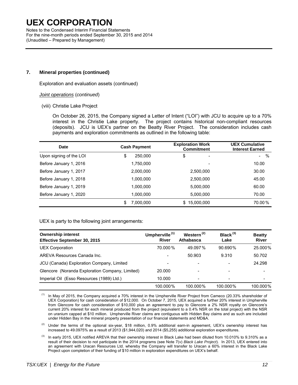Notes to the Condensed Interim Financial Statements For the nine-month periods ended September 30, 2015 and 2014 (Unaudited – Prepared by Management)

### **7. Mineral properties (continued)**

Exploration and evaluation assets (continued)

#### *Joint operations* (*continued*)

(viii) Christie Lake Project

On October 26, 2015, the Company signed a Letter of Intent ("LOI") with JCU to acquire up to a 70% interest in the Christie Lake property. The project contains historical non-compliant resources (deposits). JCU is UEX's partner on the Beatty River Project. The consideration includes cash payments and exploration commitments as outlined in the following table:

| Date                    | <b>Cash Payment</b> | <b>Exploration Work</b><br><b>Commitment</b> | <b>UEX Cumulative</b><br><b>Interest Earned</b> |
|-------------------------|---------------------|----------------------------------------------|-------------------------------------------------|
| Upon signing of the LOI | \$<br>250,000       | \$<br>$\overline{\phantom{a}}$               | %<br>$\sim$                                     |
| Before January 1, 2016  | 1,750,000           |                                              | 10.00                                           |
| Before January 1, 2017  | 2,000,000           | 2,500,000                                    | 30.00                                           |
| Before January 1, 2018  | 1.000.000           | 2,500,000                                    | 45.00                                           |
| Before January 1, 2019  | 1,000,000           | 5,000,000                                    | 60.00                                           |
| Before January 1, 2020  | 1,000,000           | 5,000,000                                    | 70.00                                           |
|                         | \$<br>7.000.000     | 15,000,000<br>\$                             | 70.00%                                          |

### UEX is party to the following joint arrangements:

| <b>Ownership interest</b><br>Effective September 30, 2015 | Umpherville <sup>(1)</sup><br><b>River</b> | Western <sup>(2)</sup><br>Athabasca | $Black^{(3)}$<br>Lake | <b>Beatty</b><br><b>River</b> |
|-----------------------------------------------------------|--------------------------------------------|-------------------------------------|-----------------------|-------------------------------|
| <b>UEX Corporation</b>                                    | 70.000%                                    | 49.097%                             | $90.690\%$            | 25.000%                       |
| AREVA Resources Canada Inc.                               | $\overline{\phantom{0}}$                   | 50.903                              | 9.310                 | 50.702                        |
| JCU (Canada) Exploration Company, Limited                 |                                            |                                     |                       | 24.298                        |
| Glencore (Noranda Exploration Company, Limited)           | 20,000                                     |                                     |                       |                               |
| Imperial Oil (Esso Resources (1989) Ltd.)                 | 10.000                                     |                                     |                       |                               |
|                                                           | 100.000%                                   | 100.000%                            | 100.000%              | 100.000%                      |

 $<sup>(1)</sup>$  In May of 2015, the Company acquired a 70% interest in the Umpherville River Project from Cameco (20.33% shareholder of</sup> UEX Corporation) for cash consideration of \$12,000. On October 7, 2015, UEX acquired a further 20% interest in Umpherville from Glencore for cash consideration of \$10,000 plus an agreement to pay to Glencore a 2% NSR royalty on Glencore's current 20% interest for each mineral produced from the project (equivalent to a 0.4% NSR on the total project) with the NSR on uranium capped at \$10 million. Umpherville River claims are contiguous with Hidden Bay claims and as such are included under Hidden Bay in the mineral property presentation of our financial statements and MD&A.

(2) Under the terms of the optional six-year, \$18 million, 0.9% additional earn-in agreement, UEX's ownership interest has increased to 49.0975% as a result of 2013 (\$1,944,020) and 2014 (\$5,255) additional exploration expenditures.

 $(3)$  In early 2015, UEX notified AREVA that their ownership interest in Black Lake had been diluted from 10.010% to 9.310% as a result of their decision to not participate in the 2014 programs (see Note 7(v) *Black Lake Project*). In 2013, UEX entered into an agreement with Uracan Resources Ltd. whereby the Company will transfer to Uracan a 60% interest in the Black Lake Project upon completion of their funding of \$10 million in exploration expenditures on UEX's behalf.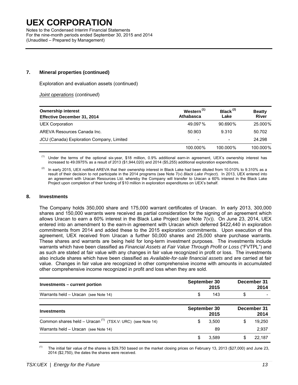Notes to the Condensed Interim Financial Statements For the nine-month periods ended September 30, 2015 and 2014 (Unaudited – Prepared by Management)

### **7. Mineral properties (continued)**

Exploration and evaluation assets (continued)

 *Joint operations* (*continued*)

| <b>Ownership interest</b>                 | Western <sup>(1)</sup>   | Black $(2)$ | <b>Beatty</b> |  |
|-------------------------------------------|--------------------------|-------------|---------------|--|
| Effective December 31, 2014               | Athabasca                | Lake        | <b>River</b>  |  |
| UEX Corporation                           | 49.097%                  | 90.690%     | 25.000%       |  |
| AREVA Resources Canada Inc.               | 50.903                   | 9.310       | 50.702        |  |
| JCU (Canada) Exploration Company, Limited | $\overline{\phantom{a}}$ |             | 24.298        |  |
|                                           | 100.000%                 | 100.000%    | 100.000%      |  |

(1) Under the terms of the optional six-year, \$18 million, 0.9% additional earn-in agreement, UEX's ownership interest has increased to 49.0975% as a result of 2013 (\$1,944,020) and 2014 (\$5,255) additional exploration expenditures.

In early 2015, UEX notified AREVA that their ownership interest in Black Lake had been diluted from 10.010% to 9.310% as a result of their decision to not participate in the 2014 programs (see Note 7(v) *Black Lake Project*). In 2013, UEX entered into an agreement with Uracan Resources Ltd. whereby the Company will transfer to Uracan a 60% interest in the Black Lake Project upon completion of their funding of \$10 million in exploration expenditures on UEX's behalf.

#### **8. Investments**

The Company holds 350,000 share and 175,000 warrant certificates of Uracan. In early 2013, 300,000 shares and 150,000 warrants were received as partial consideration for the signing of an agreement which allows Uracan to earn a 60% interest in the Black Lake Project (see Note 7(v)). On June 23, 2014, UEX entered into an amendment to the earn-in agreement with Uracan which deferred \$422,440 in exploration commitments from 2014 and added these to the 2015 exploration commitments. Upon execution of this agreement, UEX received from Uracan a further 50,000 shares and 25,000 share purchase warrants. These shares and warrants are being held for long-term investment purposes. The investments include warrants which have been classified as *Financial Assets at Fair Value Through Profit or Loss* ("FVTPL") and as such are stated at fair value with any changes in fair value recognized in profit or loss. The investments also include shares which have been classified as *Available-for-sale financial assets* and are carried at fair value. Changes in fair value are recognized in other comprehensive income with amounts in accumulated other comprehensive income recognized in profit and loss when they are sold.

| Investments – current portion        | September 30 | 2015 | December 31 | 2014                     |
|--------------------------------------|--------------|------|-------------|--------------------------|
| Warrants held - Uracan (see Note 14) |              | 143  |             | $\overline{\phantom{0}}$ |

| <b>Investments</b>                                                    | September 30 | 2015  | December 31<br>2014 |
|-----------------------------------------------------------------------|--------------|-------|---------------------|
| Common shares held - Uracan <sup>(1)</sup> (TSX.V: URC) (see Note 14) |              | 3.500 | 19,250              |
| Warrants held - Uracan (see Note 14)                                  |              | 89    | 2,937               |
|                                                                       |              | 3.589 | 22.187              |

<sup>(1)</sup> The initial fair value of the shares is \$29,750 based on the market closing prices on February 13, 2013 (\$27,000) and June 23, 2014 (\$2,750), the dates the shares were received.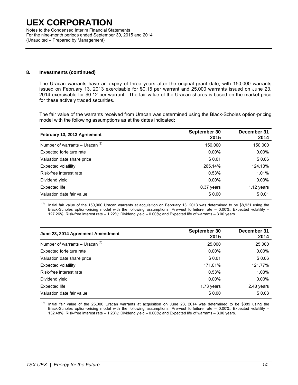Notes to the Condensed Interim Financial Statements For the nine-month periods ended September 30, 2015 and 2014 (Unaudited – Prepared by Management)

### **8. Investments (continued)**

The Uracan warrants have an expiry of three years after the original grant date, with 150,000 warrants issued on February 13, 2013 exercisable for \$0.15 per warrant and 25,000 warrants issued on June 23, 2014 exercisable for \$0.12 per warrant. The fair value of the Uracan shares is based on the market price for these actively traded securities.

The fair value of the warrants received from Uracan was determined using the Black-Scholes option-pricing model with the following assumptions as at the dates indicated:

| February 13, 2013 Agreement       | September 30<br>2015 | December 31<br>2014 |
|-----------------------------------|----------------------|---------------------|
| Number of warrants – Uracan $(2)$ | 150,000              | 150,000             |
| Expected forfeiture rate          | $0.00\%$             | $0.00\%$            |
| Valuation date share price        | \$0.01               | \$0.06              |
| Expected volatility               | 265.14%              | 124.13%             |
| Risk-free interest rate           | 0.53%                | 1.01%               |
| Dividend yield                    | $0.00\%$             | $0.00\%$            |
| Expected life                     | $0.37$ years         | 1.12 years          |
| Valuation date fair value         | \$0.00               | \$0.01              |

Initial fair value of the 150,000 Uracan warrants at acquisition on February 13, 2013 was determined to be \$8,931 using the Black-Scholes option-pricing model with the following assumptions: Pre-vest forfeiture rate – 0.00%; Expected volatility – 127.26%; Risk-free interest rate – 1.22%; Dividend yield – 0.00%; and Expected life of warrants – 3.00 years.

| June 23, 2014 Agreement Amendment | September 30<br>2015 | December 31<br>2014 |
|-----------------------------------|----------------------|---------------------|
| Number of warrants - Uracan $(3)$ | 25,000               | 25,000              |
| Expected forfeiture rate          | $0.00\%$             | $0.00\%$            |
| Valuation date share price        | \$0.01               | \$0.06              |
| Expected volatility               | 171.01%              | 121.77%             |
| Risk-free interest rate           | 0.53%                | 1.03%               |
| Dividend yield                    | $0.00\%$             | $0.00\%$            |
| Expected life                     | 1.73 years           | 2.48 years          |
| Valuation date fair value         | \$0.00               | \$0.03              |

 $<sup>(3)</sup>$  Initial fair value of the 25,000 Uracan warrants at acquisition on June 23, 2014 was determined to be \$889 using the</sup> Black-Scholes option-pricing model with the following assumptions: Pre-vest forfeiture rate – 0.00%; Expected volatility – 132.48%; Risk-free interest rate – 1.23%; Dividend yield – 0.00%; and Expected life of warrants – 3.00 years.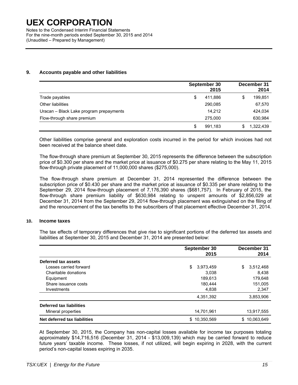Notes to the Condensed Interim Financial Statements For the nine-month periods ended September 30, 2015 and 2014 (Unaudited – Prepared by Management)

### **9. Accounts payable and other liabilities**

|                                         | September 30<br>2015 | December 31<br>2014 |
|-----------------------------------------|----------------------|---------------------|
| Trade payables                          | \$<br>411,886        | \$<br>199,851       |
| Other liabilities                       | 290,085              | 67,570              |
| Uracan - Black Lake program prepayments | 14.212               | 424,034             |
| Flow-through share premium              | 275,000              | 630,984             |
|                                         | 991,183<br>S         | 1,322,439<br>S      |

Other liabilities comprise general and exploration costs incurred in the period for which invoices had not been received at the balance sheet date.

The flow-through share premium at September 30, 2015 represents the difference between the subscription price of \$0.300 per share and the market price at issuance of \$0.275 per share relating to the May 11, 2015 flow-through private placement of 11,000,000 shares (\$275,000).

The flow-through share premium at December 31, 2014 represented the difference between the subscription price of \$0.430 per share and the market price at issuance of \$0.335 per share relating to the September 29, 2014 flow-through placement of 7,176,390 shares (\$681,757). In February of 2015, the flow-through share premium liability of \$630,984 relating to unspent amounts of \$2,856,029 at December 31, 2014 from the September 29, 2014 flow-through placement was extinguished on the filing of and the renouncement of the tax benefits to the subscribers of that placement effective December 31, 2014.

#### **10. Income taxes**

The tax effects of temporary differences that give rise to significant portions of the deferred tax assets and liabilities at September 30, 2015 and December 31, 2014 are presented below:

|                              | September 30    | December 31     |  |
|------------------------------|-----------------|-----------------|--|
|                              | 2015            | 2014            |  |
| Deferred tax assets          |                 |                 |  |
| Losses carried forward       | \$<br>3,973,459 | \$<br>3,512,468 |  |
| Charitable donations         | 3.038           | 8.438           |  |
| Equipment                    | 189,613         | 179,648         |  |
| Share issuance costs         | 180.444         | 151,005         |  |
| Investments                  | 4.838           | 2,347           |  |
|                              | 4,351,392       | 3,853,906       |  |
| Deferred tax liabilities     |                 |                 |  |
| Mineral properties           | 14,701,961      | 13,917,555      |  |
| Net deferred tax liabilities | \$10.350.569    | \$10.063.649    |  |

At September 30, 2015, the Company has non-capital losses available for income tax purposes totaling approximately \$14,716,516 (December 31, 2014 - \$13,009,139) which may be carried forward to reduce future years' taxable income. These losses, if not utilized, will begin expiring in 2028, with the current period's non-capital losses expiring in 2035.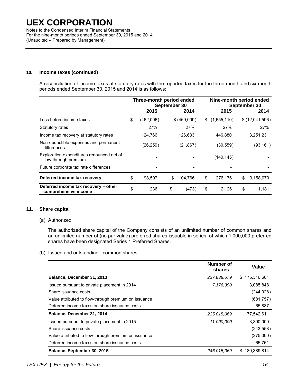Notes to the Condensed Interim Financial Statements For the nine-month periods ended September 30, 2015 and 2014 (Unaudited – Prepared by Management)

### **10. Income taxes (continued)**

A reconciliation of income taxes at statutory rates with the reported taxes for the three-month and six-month periods ended September 30, 2015 and 2014 is as follows:

|                                                                   | Three-month period ended<br>September 30 |           |    | Nine-month period ended<br>September 30 |    |             |    |                |
|-------------------------------------------------------------------|------------------------------------------|-----------|----|-----------------------------------------|----|-------------|----|----------------|
|                                                                   |                                          | 2015      |    | 2014                                    |    | 2015        |    | 2014           |
| Loss before income taxes                                          | \$                                       | (462,096) |    | \$ (469,009)                            | \$ | (1,655,110) |    | \$(12,041,596) |
| Statutory rates                                                   |                                          | 27%       |    | 27%                                     |    | 27%         |    | 27%            |
| Income tax recovery at statutory rates                            |                                          | 124,766   |    | 126,633                                 |    | 446,880     |    | 3,251,231      |
| Non-deductible expenses and permanent<br>differences              |                                          | (26, 259) |    | (21, 867)                               |    | (30, 559)   |    | (93, 161)      |
| Exploration expenditures renounced net of<br>flow-through premium |                                          |           |    |                                         |    | (140, 145)  |    |                |
| Future corporate tax rate differences                             |                                          |           |    |                                         |    |             |    |                |
| Deferred income tax recovery                                      | \$                                       | 98,507    | \$ | 104,766                                 | \$ | 276,176     | \$ | 3,158,070      |
| Deferred income tax recovery – other<br>comprehensive income      | \$                                       | 236       | \$ | (473)                                   | \$ | 2,126       | \$ | 1,181          |

### **11. Share capital**

#### (a) Authorized

 The authorized share capital of the Company consists of an unlimited number of common shares and an unlimited number of (no par value) preferred shares issuable in series, of which 1,000,000 preferred shares have been designated Series 1 Preferred Shares.

(b) Issued and outstanding - common shares

|                                                      | Number of<br>shares | Value             |
|------------------------------------------------------|---------------------|-------------------|
| Balance, December 31, 2013                           | 227,838,679         | 175,316,661<br>S. |
| Issued pursuant to private placement in 2014         | 7,176,390           | 3,085,848         |
| Share issuance costs                                 |                     | (244, 028)        |
| Value attributed to flow-through premium on issuance |                     | (681, 757)        |
| Deferred income taxes on share issuance costs        |                     | 65,887            |
| Balance, December 31, 2014                           | 235,015,069         | 177,542,611       |
| Issued pursuant to private placement in 2015         | 11,000,000          | 3,300,000         |
| Share issuance costs                                 |                     | (243, 558)        |
| Value attributed to flow-through premium on issuance |                     | (275,000)         |
| Deferred income taxes on share issuance costs        |                     | 65,761            |
| Balance, September 30, 2015                          | 246.015.069         | 180.389.814<br>S. |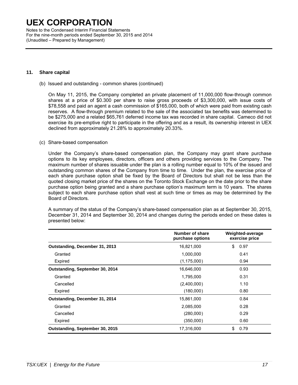Notes to the Condensed Interim Financial Statements For the nine-month periods ended September 30, 2015 and 2014 (Unaudited – Prepared by Management)

#### **11. Share capital**

(b) Issued and outstanding - common shares (continued)

On May 11, 2015, the Company completed an private placement of 11,000,000 flow-through common shares at a price of \$0.300 per share to raise gross proceeds of \$3,300,000, with issue costs of \$78,558 and paid an agent a cash commission of \$165,000, both of which were paid from existing cash reserves. A flow-through premium related to the sale of the associated tax benefits was determined to be \$275,000 and a related \$65,761 deferred income tax was recorded in share capital. Cameco did not exercise its pre-emptive right to participate in the offering and as a result, its ownership interest in UEX declined from approximately 21.28% to approximately 20.33%.

(c) Share-based compensation

Under the Company's share-based compensation plan, the Company may grant share purchase options to its key employees, directors, officers and others providing services to the Company. The maximum number of shares issuable under the plan is a rolling number equal to 10% of the issued and outstanding common shares of the Company from time to time. Under the plan, the exercise price of each share purchase option shall be fixed by the Board of Directors but shall not be less than the quoted closing market price of the shares on the Toronto Stock Exchange on the date prior to the share purchase option being granted and a share purchase option's maximum term is 10 years. The shares subject to each share purchase option shall vest at such time or times as may be determined by the Board of Directors.

A summary of the status of the Company's share-based compensation plan as at September 30, 2015, December 31, 2014 and September 30, 2014 and changes during the periods ended on these dates is presented below:

|                                 | Number of share<br>purchase options | Weighted-average<br>exercise price |  |  |
|---------------------------------|-------------------------------------|------------------------------------|--|--|
| Outstanding, December 31, 2013  | 16,821,000                          | 0.97<br>\$                         |  |  |
| Granted                         | 1,000,000                           | 0.41                               |  |  |
| Expired                         | (1, 175, 000)                       | 0.94                               |  |  |
| Outstanding, September 30, 2014 | 16,646,000                          | 0.93                               |  |  |
| Granted                         | 1,795,000                           | 0.31                               |  |  |
| Cancelled                       | (2,400,000)                         | 1.10                               |  |  |
| Expired                         | (180,000)                           | 0.80                               |  |  |
| Outstanding, December 31, 2014  | 15,861,000                          | 0.84                               |  |  |
| Granted                         | 2,085,000                           | 0.28                               |  |  |
| Cancelled                       | (280,000)                           | 0.29                               |  |  |
| Expired                         | (350,000)                           | 0.60                               |  |  |
| Outstanding, September 30, 2015 | 17,316,000                          | \$<br>0.79                         |  |  |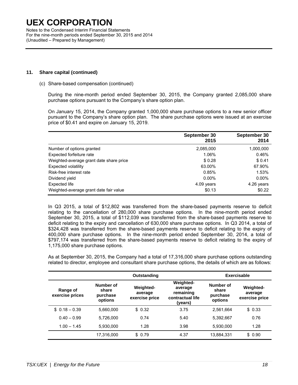Notes to the Condensed Interim Financial Statements For the nine-month periods ended September 30, 2015 and 2014 (Unaudited – Prepared by Management)

### **11. Share capital (continued)**

(c) Share-based compensation (continued)

During the nine-month period ended September 30, 2015, the Company granted 2,085,000 share purchase options pursuant to the Company's share option plan.

On January 15, 2014, the Company granted 1,000,000 share purchase options to a new senior officer pursuant to the Company's share option plan. The share purchase options were issued at an exercise price of \$0.41 and expire on January 15, 2019.

|                                         | September 30<br>2015 | September 30<br>2014 |
|-----------------------------------------|----------------------|----------------------|
| Number of options granted               | 2,085,000            | 1,000,000            |
| Expected forfeiture rate                | 1.06%                | 0.46%                |
| Weighted-average grant date share price | \$0.28               | \$0.41               |
| <b>Expected volatility</b>              | 63.00%               | 67.90%               |
| Risk-free interest rate                 | 0.85%                | 1.53%                |
| Dividend yield                          | $0.00\%$             | $0.00\%$             |
| Expected life                           | 4.09 years           | 4.26 years           |
| Weighted-average grant date fair value  | \$0.13               | \$0.22               |

In Q3 2015, a total of \$12,802 was transferred from the share-based payments reserve to deficit relating to the cancellation of 280,000 share purchase options. In the nine-month period ended September 30, 2015, a total of \$112,039 was transferred from the share-based payments reserve to deficit relating to the expiry and cancellation of 630,000 share purchase options. In Q3 2014, a total of \$324,428 was transferred from the share-based payments reserve to deficit relating to the expiry of 400,000 share purchase options. In the nine-month period ended September 30, 2014, a total of \$797,174 was transferred from the share-based payments reserve to deficit relating to the expiry of 1,175,000 share purchase options.

As at September 30, 2015, the Company had a total of 17,316,000 share purchase options outstanding related to director, employee and consultant share purchase options, the details of which are as follows:

|                             | Outstanding                               |                                               |                                                                         | <b>Exercisable</b>                        |                                               |  |
|-----------------------------|-------------------------------------------|-----------------------------------------------|-------------------------------------------------------------------------|-------------------------------------------|-----------------------------------------------|--|
| Range of<br>exercise prices | Number of<br>share<br>purchase<br>options | <b>Weighted-</b><br>average<br>exercise price | <b>Weighted-</b><br>average<br>remaining<br>contractual life<br>(years) | Number of<br>share<br>purchase<br>options | <b>Weighted-</b><br>average<br>exercise price |  |
| $$0.18 - 0.39$              | 5,660,000                                 | \$0.32                                        | 3.75                                                                    | 2,561,664                                 | \$0.33                                        |  |
| $0.40 - 0.99$               | 5.726.000                                 | 0.74                                          | 5.40                                                                    | 5.392.667                                 | 0.76                                          |  |
| $1.00 - 1.45$               | 5.930.000                                 | 1.28                                          | 3.98                                                                    | 5,930,000                                 | 1.28                                          |  |
|                             | 17,316,000                                | \$0.79                                        | 4.37                                                                    | 13,884,331                                | \$0.90                                        |  |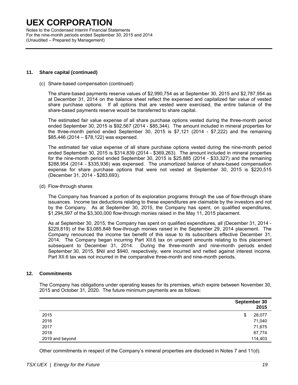Notes to the Condensed Interim Financial Statements For the nine-month periods ended September 30, 2015 and 2014 (Unaudited – Prepared by Management)

#### **11. Share capital (continued)**

(c) Share-based compensation (continued)

The share-based payments reserve values of \$2,990,754 as at September 30, 2015 and \$2,787,954 as at December 31, 2014 on the balance sheet reflect the expensed and capitalized fair value of vested share purchase options. If all options that are vested were exercised, the entire balance of the share-based payments reserve would be transferred to share capital.

The estimated fair value expense of all share purchase options vested during the three-month period ended September 30, 2015 is \$92,567 (2014 - \$85,344). The amount included in mineral properties for the three-month period ended September 30, 2015 is \$7,121 (2014 - \$7,222) and the remaining \$85,446 (2014 – \$78,122) was expensed.

The estimated fair value expense of all share purchase options vested during the nine-month period ended September 30, 2015 is \$314,839 (2014 - \$369,263). The amount included in mineral properties for the nine-month period ended September 30, 2015 is \$25,885 (2014 - \$33,327) and the remaining \$288,954 (2014 - \$335,936) was expensed. The unamortized balance of share-based compensation expense for share purchase options that were not vested at September 30, 2015 is \$220,515 (December 31, 2014 - \$283,693).

(d) Flow-through shares

The Company has financed a portion of its exploration programs through the use of flow-through share issuances. Income tax deductions relating to these expenditures are claimable by the investors and not by the Company. As at September 30, 2015, the Company has spent, on qualified expenditures, \$1,294,597 of the \$3,300,000 flow-through monies raised in the May 11, 2015 placement.

As at September 30, 2015, the Company has spent on qualified expenditures, all (December 31, 2014 - \$229,819) of the \$3,085,848 flow-through monies raised in the September 29, 2014 placement. The Company renounced the income tax benefit of this issue to its subscribers effective December 31, 2014. The Company began incurring Part XII.6 tax on unspent amounts relating to this placement subsequent to December 31, 2014. During the three-month and nine-month periods ended September 30, 2015, \$Nil and \$940, respectively, were incurred and netted against interest income. Part XII.6 tax was not incurred in the comparative three-month and nine-month periods.

### **12. Commitments**

The Company has obligations under operating leases for its premises, which expire between November 30, 2015 and October 31, 2020. The future minimum payments are as follows:

|                 | September 30<br>2015 |
|-----------------|----------------------|
| 2015            | \$<br>28,077         |
| 2016            | 71,040               |
| 2017            | 71,675               |
| 2018            | 67,774               |
| 2019 and beyond | 114,403              |

Other commitments in respect of the Company's mineral properties are disclosed in Notes 7 and 11(d).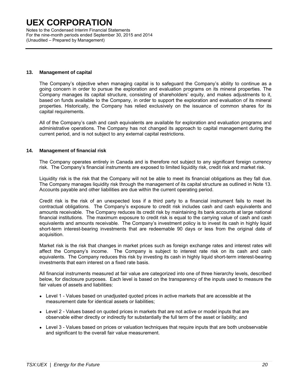Notes to the Condensed Interim Financial Statements For the nine-month periods ended September 30, 2015 and 2014 (Unaudited – Prepared by Management)

#### **13. Management of capital**

The Company's objective when managing capital is to safeguard the Company's ability to continue as a going concern in order to pursue the exploration and evaluation programs on its mineral properties. The Company manages its capital structure, consisting of shareholders' equity, and makes adjustments to it, based on funds available to the Company, in order to support the exploration and evaluation of its mineral properties. Historically, the Company has relied exclusively on the issuance of common shares for its capital requirements.

All of the Company's cash and cash equivalents are available for exploration and evaluation programs and administrative operations. The Company has not changed its approach to capital management during the current period, and is not subject to any external capital restrictions.

### **14. Management of financial risk**

The Company operates entirely in Canada and is therefore not subject to any significant foreign currency risk. The Company's financial instruments are exposed to limited liquidity risk, credit risk and market risk.

Liquidity risk is the risk that the Company will not be able to meet its financial obligations as they fall due. The Company manages liquidity risk through the management of its capital structure as outlined in Note 13. Accounts payable and other liabilities are due within the current operating period.

Credit risk is the risk of an unexpected loss if a third party to a financial instrument fails to meet its contractual obligations. The Company's exposure to credit risk includes cash and cash equivalents and amounts receivable. The Company reduces its credit risk by maintaining its bank accounts at large national financial institutions. The maximum exposure to credit risk is equal to the carrying value of cash and cash equivalents and amounts receivable. The Company's investment policy is to invest its cash in highly liquid short-term interest-bearing investments that are redeemable 90 days or less from the original date of acquisition.

Market risk is the risk that changes in market prices such as foreign exchange rates and interest rates will affect the Company's income. The Company is subject to interest rate risk on its cash and cash equivalents. The Company reduces this risk by investing its cash in highly liquid short-term interest-bearing investments that earn interest on a fixed rate basis.

All financial instruments measured at fair value are categorized into one of three hierarchy levels, described below, for disclosure purposes. Each level is based on the transparency of the inputs used to measure the fair values of assets and liabilities:

- Level 1 Values based on unadjusted quoted prices in active markets that are accessible at the measurement date for identical assets or liabilities;
- Level 2 Values based on quoted prices in markets that are not active or model inputs that are observable either directly or indirectly for substantially the full term of the asset or liability; and
- Level 3 Values based on prices or valuation techniques that require inputs that are both unobservable and significant to the overall fair value measurement.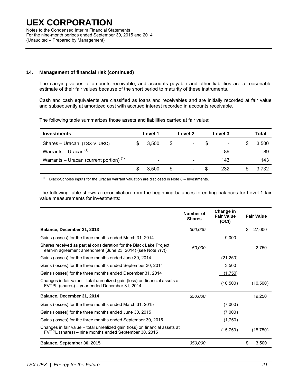Notes to the Condensed Interim Financial Statements For the nine-month periods ended September 30, 2015 and 2014 (Unaudited – Prepared by Management)

### **14. Management of financial risk (continued)**

The carrying values of amounts receivable, and accounts payable and other liabilities are a reasonable estimate of their fair values because of the short period to maturity of these instruments.

Cash and cash equivalents are classified as loans and receivables and are initially recorded at fair value and subsequently at amortized cost with accrued interest recorded in accounts receivable.

The following table summarizes those assets and liabilities carried at fair value:

| <b>Investments</b>                        | Level 1 |                              | Level 2 |                          | Level 3 |     | Total |
|-------------------------------------------|---------|------------------------------|---------|--------------------------|---------|-----|-------|
| Shares - Uracan (TSX-V: URC)              |         | 3.500                        | \$      | $\overline{\phantom{a}}$ | \$.     |     | 3,500 |
| Warrants – Uracan $(1)$                   |         | ۰                            |         |                          |         | 89  | 89    |
| Warrants – Uracan (current portion) $(1)$ |         | $\qquad \qquad \blacksquare$ |         | -                        |         | 143 | 143   |
|                                           |         | 3.500                        | S       | $\overline{\phantom{a}}$ | \$.     | 232 | 3.732 |

 $(1)$  Black-Scholes inputs for the Uracan warrant valuation are disclosed in Note 8 – Investments.

The following table shows a reconciliation from the beginning balances to ending balances for Level 1 fair value measurements for investments:

|                                                                                                                                      | Number of<br><b>Shares</b> | Change in<br><b>Fair Value</b><br>(OCI) | <b>Fair Value</b> |
|--------------------------------------------------------------------------------------------------------------------------------------|----------------------------|-----------------------------------------|-------------------|
| Balance, December 31, 2013                                                                                                           | 300,000                    |                                         | \$<br>27,000      |
| Gains (losses) for the three months ended March 31, 2014                                                                             |                            | 9,000                                   |                   |
| Shares received as partial consideration for the Black Lake Project<br>earn-in agreement amendment (June 23, 2014) (see Note 7(v))   | 50,000                     |                                         | 2.750             |
| Gains (losses) for the three months ended June 30, 2014                                                                              |                            | (21, 250)                               |                   |
| Gains (losses) for the three months ended September 30, 2014                                                                         |                            | 3.500                                   |                   |
| Gains (losses) for the three months ended December 31, 2014                                                                          |                            | (1,750)                                 |                   |
| Changes in fair value – total unrealized gain (loss) on financial assets at<br>FVTPL (shares) – year ended December 31, 2014         |                            | (10,500)                                | (10,500)          |
| Balance, December 31, 2014                                                                                                           | 350,000                    |                                         | 19.250            |
| Gains (losses) for the three months ended March 31, 2015                                                                             |                            | (7,000)                                 |                   |
| Gains (losses) for the three months ended June 30, 2015                                                                              |                            | (7,000)                                 |                   |
| Gains (losses) for the three months ended September 30, 2015                                                                         |                            | (1,750)                                 |                   |
| Changes in fair value – total unrealized gain (loss) on financial assets at<br>FVTPL (shares) - nine months ended September 30, 2015 |                            | (15,750)                                | (15,750)          |
| Balance, September 30, 2015                                                                                                          | <i>350.000</i>             |                                         | S<br>3,500        |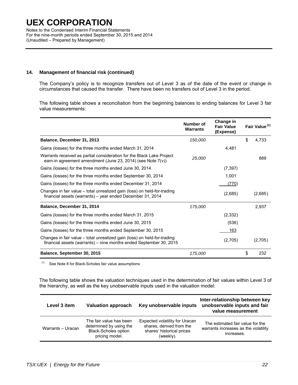Notes to the Condensed Interim Financial Statements For the nine-month periods ended September 30, 2015 and 2014 (Unaudited – Prepared by Management)

### **14. Management of financial risk (continued)**

The Company's policy is to recognize transfers out of Level 3 as of the date of the event or change in circumstances that caused the transfer. There have been no transfers out of Level 3 in the period.

The following table shows a reconciliation from the beginning balances to ending balances for Level 3 fair value measurements:

|                                                                                                                                                | Number of<br>Warrants | Change in<br><b>Fair Value</b><br>(Expense) | Fair Value <sup>(1)</sup> |
|------------------------------------------------------------------------------------------------------------------------------------------------|-----------------------|---------------------------------------------|---------------------------|
| Balance, December 31, 2013                                                                                                                     | 150,000               |                                             | \$<br>4,733               |
| Gains (losses) for the three months ended March 31, 2014                                                                                       |                       | 4,481                                       |                           |
| Warrants received as partial consideration for the Black Lake Project<br>earn-in agreement amendment (June 23, 2014) (see Note 7(v))           | 25,000                |                                             | 889                       |
| Gains (losses) for the three months ended June 30, 2014                                                                                        |                       | (7, 397)                                    |                           |
| Gains (losses) for the three months ended September 30, 2014                                                                                   |                       | 1,001                                       |                           |
| Gains (losses) for the three months ended December 31, 2014                                                                                    |                       | (770)                                       |                           |
| Changes in fair value – total unrealized gain (loss) on held-for-trading<br>financial assets (warrants) - year ended December 31, 2014         |                       | (2,685)                                     | (2,685)                   |
| Balance, December 31, 2014                                                                                                                     | 175,000               |                                             | 2,937                     |
| Gains (losses) for the three months ended March 31, 2015                                                                                       |                       | (2, 332)                                    |                           |
| Gains (losses) for the three months ended June 30, 2015                                                                                        |                       | (536)                                       |                           |
| Gains (losses) for the three months ended September 30, 2015                                                                                   |                       | 163                                         |                           |
| Changes in fair value – total unrealized gain (loss) on held-for-trading<br>financial assets (warrants) – nine months ended September 30, 2015 |                       | (2,705)                                     | (2,705)                   |
| Balance, September 30, 2015                                                                                                                    | 175,000               |                                             | \$<br>232                 |

 $(1)$  See Note 8 for Black-Scholes fair value assumptions

The following table shows the valuation techniques used in the determination of fair values within Level 3 of the hierarchy, as well as the key unobservable inputs used in the valuation model:

| Level 3 item      | <b>Valuation approach</b>                                                                           | Key unobservable inputs                                                                              | Inter-relationship between key<br>unobservable inputs and fair<br>value measurement    |
|-------------------|-----------------------------------------------------------------------------------------------------|------------------------------------------------------------------------------------------------------|----------------------------------------------------------------------------------------|
| Warrants - Uracan | The fair value has been<br>determined by using the<br><b>Black-Scholes option</b><br>pricing model. | Expected volatility for Uracan<br>shares, derived from the<br>shares' historical prices<br>(weekly). | The estimated fair value for the<br>warrants increases as the volatility<br>increases. |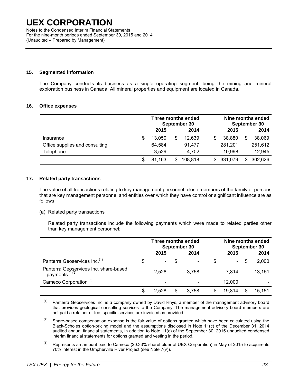Notes to the Condensed Interim Financial Statements For the nine-month periods ended September 30, 2015 and 2014 (Unaudited – Prepared by Management)

### **15. Segmented information**

The Company conducts its business as a single operating segment, being the mining and mineral exploration business in Canada. All mineral properties and equipment are located in Canada.

#### **16. Office expenses**

|                                |   | Three months ended<br>September 30 |     |         |    | Nine months ended<br>September 30 |    |         |  |
|--------------------------------|---|------------------------------------|-----|---------|----|-----------------------------------|----|---------|--|
|                                |   | 2015                               |     | 2014    |    | 2015                              |    | 2014    |  |
| Insurance                      |   | 13.050                             | \$  | 12,639  | \$ | 38,880                            | S  | 38,069  |  |
| Office supplies and consulting |   | 64.584                             |     | 91.477  |    | 281,201                           |    | 251,612 |  |
| Telephone                      |   | 3,529                              |     | 4,702   |    | 10,998                            |    | 12,945  |  |
|                                | S | 81.163                             | \$. | 108.818 |    | \$ 331,079                        | S. | 302,626 |  |

#### **17. Related party transactions**

The value of all transactions relating to key management personnel, close members of the family of persons that are key management personnel and entities over which they have control or significant influence are as follows:

(a) Related party transactions

Related party transactions include the following payments which were made to related parties other than key management personnel:

|                                                            |   | Three months ended<br>September 30 |    |       |    | Nine months ended<br>September 30 |   |        |
|------------------------------------------------------------|---|------------------------------------|----|-------|----|-----------------------------------|---|--------|
|                                                            |   | 2015                               |    | 2014  |    | 2015                              |   | 2014   |
| Panterra Geoservices Inc. <sup>(1)</sup>                   |   | $\overline{\phantom{a}}$           | \$ |       | \$ | $\sim$ $-$                        | S | 2,000  |
| Panterra Geoservices Inc. share-based<br>payments $(1)(2)$ |   | 2.528                              |    | 3.758 |    | 7.814                             |   | 13.151 |
| Cameco Corporation <sup>(3)</sup>                          |   | $\overline{\phantom{a}}$           |    |       |    | 12.000                            |   |        |
|                                                            | S | 2.528                              | S  | 3.758 | S  | 19.814                            | S | 15.151 |

 $(1)$  Panterra Geoservices Inc. is a company owned by David Rhys, a member of the management advisory board that provides geological consulting services to the Company. The management advisory board members are not paid a retainer or fee; specific services are invoiced as provided.

 $(2)$  Share-based compensation expense is the fair value of options granted which have been calculated using the Black-Scholes option-pricing model and the assumptions disclosed in Note 11(c) of the December 31, 2014 audited annual financial statements, in addition to Note 11(c) of the September 30, 2015 unaudited condensed interim financial statements for options granted and vesting in the period.

 $^{(3)}$  Represents an amount paid to Cameco (20.33% shareholder of UEX Corporation) in May of 2015 to acquire its 70% interest in the Umpherville River Project (see Note 7(v)).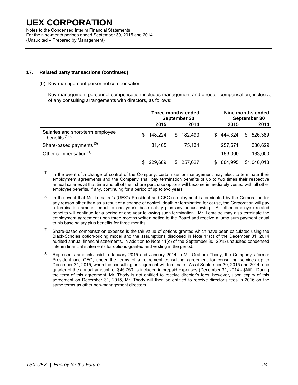Notes to the Condensed Interim Financial Statements For the nine-month periods ended September 30, 2015 and 2014 (Unaudited – Prepared by Management)

### **17. Related party transactions (continued)**

#### (b) Key management personnel compensation

Key management personnel compensation includes management and director compensation, inclusive of any consulting arrangements with directors, as follows:

|                                                       |     | Three months ended<br>September 30 |     |         |     | Nine months ended<br>September 30 |    |             |
|-------------------------------------------------------|-----|------------------------------------|-----|---------|-----|-----------------------------------|----|-------------|
|                                                       |     | 2015                               |     | 2014    |     | 2015                              |    | 2014        |
| Salaries and short-term employee<br>benefits $(1)(2)$ | S   | 148,224                            | S.  | 182.493 | \$. | 444,324                           | S. | 526.389     |
| Share-based payments <sup>(3)</sup>                   |     | 81,465                             |     | 75.134  |     | 257.671                           |    | 330,629     |
| Other compensation <sup>(4)</sup>                     |     | $\overline{\phantom{a}}$           |     |         |     | 183,000                           |    | 183,000     |
|                                                       | \$. | 229,689                            | SS. | 257.627 | S   | 884,995                           |    | \$1,040,018 |

 $(1)$  In the event of a change of control of the Company, certain senior management may elect to terminate their employment agreements and the Company shall pay termination benefits of up to two times their respective annual salaries at that time and all of their share purchase options will become immediately vested with all other employee benefits, if any, continuing for a period of up to two years.

 $(2)$  In the event that Mr. Lemaitre's (UEX's President and CEO) employment is terminated by the Corporation for any reason other than as a result of a change of control, death or termination for cause, the Corporation will pay a termination amount equal to one year's base salary plus any bonus owing. All other employee related benefits will continue for a period of one year following such termination. Mr. Lemaitre may also terminate the employment agreement upon three months written notice to the Board and receive a lump sum payment equal to his base salary plus benefits for three months.

 $^{(3)}$  Share-based compensation expense is the fair value of options granted which have been calculated using the Black-Scholes option-pricing model and the assumptions disclosed in Note 11(c) of the December 31, 2014 audited annual financial statements, in addition to Note 11(c) of the September 30, 2015 unaudited condensed interim financial statements for options granted and vesting in the period.

 $(4)$  Represents amounts paid in January 2015 and January 2014 to Mr. Graham Thody, the Company's former President and CEO, under the terms of a retirement consulting agreement for consulting services up to December 31, 2015, when the consulting arrangement will terminate. As at September 30, 2015 and 2014, one quarter of the annual amount, or \$45,750, is included in prepaid expenses (December 31, 2014 - \$Nil). During the term of this agreement, Mr. Thody is not entitled to receive director's fees; however, upon expiry of this agreement on December 31, 2015, Mr. Thody will then be entitled to receive director's fees in 2016 on the same terms as other non-management directors.